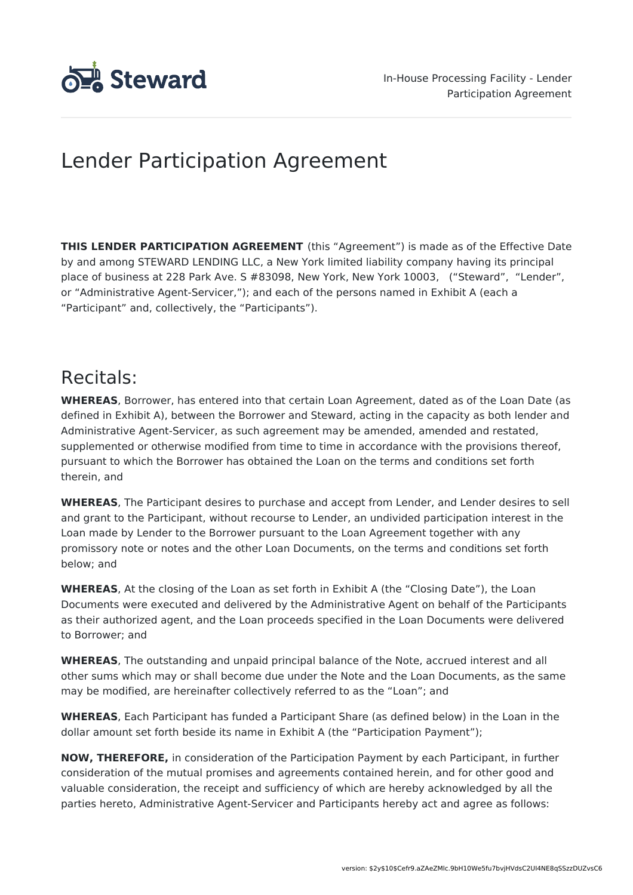

# Lender Participation Agreement

**THIS LENDER PARTICIPATION AGREEMENT** (this "Agreement") is made as of the Effective Date by and among STEWARD LENDING LLC, a New York limited liability company having its principal place of business at 228 Park Ave. S #83098, New York, New York 10003, ("Steward", "Lender", or "Administrative Agent-Servicer,"); and each of the persons named in Exhibit A (each a "Participant" and, collectively, the "Participants").

# Recitals:

**WHEREAS**, Borrower, has entered into that certain Loan Agreement, dated as of the Loan Date (as defined in Exhibit A), between the Borrower and Steward, acting in the capacity as both lender and Administrative Agent-Servicer, as such agreement may be amended, amended and restated, supplemented or otherwise modified from time to time in accordance with the provisions thereof, pursuant to which the Borrower has obtained the Loan on the terms and conditions set forth therein, and

**WHEREAS**, The Participant desires to purchase and accept from Lender, and Lender desires to sell and grant to the Participant, without recourse to Lender, an undivided participation interest in the Loan made by Lender to the Borrower pursuant to the Loan Agreement together with any promissory note or notes and the other Loan Documents, on the terms and conditions set forth below; and

**WHEREAS**, At the closing of the Loan as set forth in Exhibit A (the "Closing Date"), the Loan Documents were executed and delivered by the Administrative Agent on behalf of the Participants as their authorized agent, and the Loan proceeds specified in the Loan Documents were delivered to Borrower; and

**WHEREAS**, The outstanding and unpaid principal balance of the Note, accrued interest and all other sums which may or shall become due under the Note and the Loan Documents, as the same may be modified, are hereinafter collectively referred to as the "Loan"; and

**WHEREAS**, Each Participant has funded a Participant Share (as defined below) in the Loan in the dollar amount set forth beside its name in Exhibit A (the "Participation Payment");

**NOW, THEREFORE,** in consideration of the Participation Payment by each Participant, in further consideration of the mutual promises and agreements contained herein, and for other good and valuable consideration, the receipt and sufficiency of which are hereby acknowledged by all the parties hereto, Administrative Agent-Servicer and Participants hereby act and agree as follows: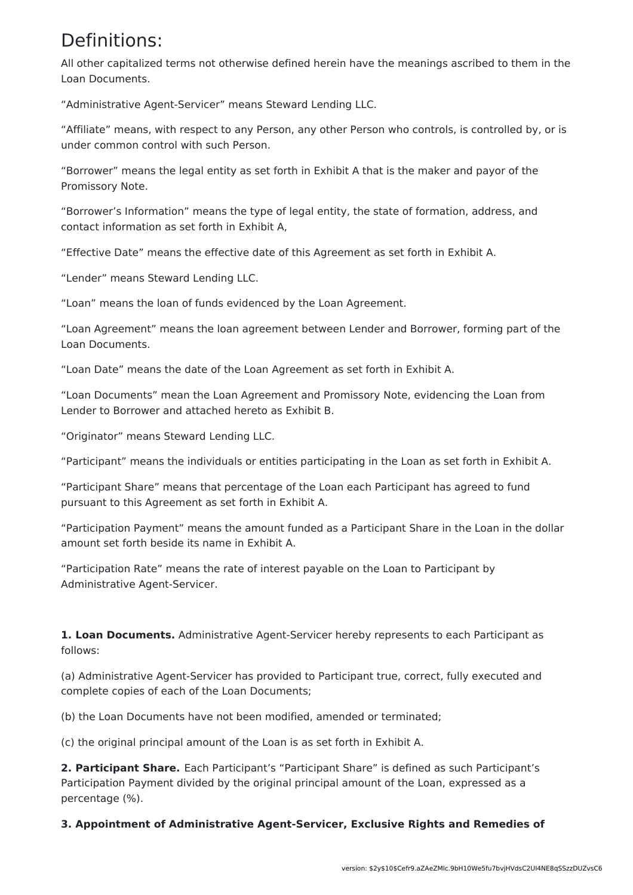## Definitions:

All other capitalized terms not otherwise defined herein have the meanings ascribed to them in the Loan Documents.

"Administrative Agent-Servicer" means Steward Lending LLC.

"Affiliate" means, with respect to any Person, any other Person who controls, is controlled by, or is under common control with such Person.

"Borrower" means the legal entity as set forth in Exhibit A that is the maker and payor of the Promissory Note.

"Borrower's Information" means the type of legal entity, the state of formation, address, and contact information as set forth in Exhibit A,

"Effective Date" means the effective date of this Agreement as set forth in Exhibit A.

"Lender" means Steward Lending LLC.

"Loan" means the loan of funds evidenced by the Loan Agreement.

"Loan Agreement" means the loan agreement between Lender and Borrower, forming part of the Loan Documents.

"Loan Date" means the date of the Loan Agreement as set forth in Exhibit A.

"Loan Documents" mean the Loan Agreement and Promissory Note, evidencing the Loan from Lender to Borrower and attached hereto as Exhibit B.

"Originator" means Steward Lending LLC.

"Participant" means the individuals or entities participating in the Loan as set forth in Exhibit A.

"Participant Share" means that percentage of the Loan each Participant has agreed to fund pursuant to this Agreement as set forth in Exhibit A.

"Participation Payment" means the amount funded as a Participant Share in the Loan in the dollar amount set forth beside its name in Exhibit A.

"Participation Rate" means the rate of interest payable on the Loan to Participant by Administrative Agent-Servicer.

**1. Loan Documents.** Administrative Agent-Servicer hereby represents to each Participant as follows:

(a) Administrative Agent-Servicer has provided to Participant true, correct, fully executed and complete copies of each of the Loan Documents;

(b) the Loan Documents have not been modified, amended or terminated;

(c) the original principal amount of the Loan is as set forth in Exhibit A.

**2. Participant Share.** Each Participant's "Participant Share" is defined as such Participant's Participation Payment divided by the original principal amount of the Loan, expressed as a percentage (%).

**3. Appointment of Administrative Agent-Servicer, Exclusive Rights and Remedies of**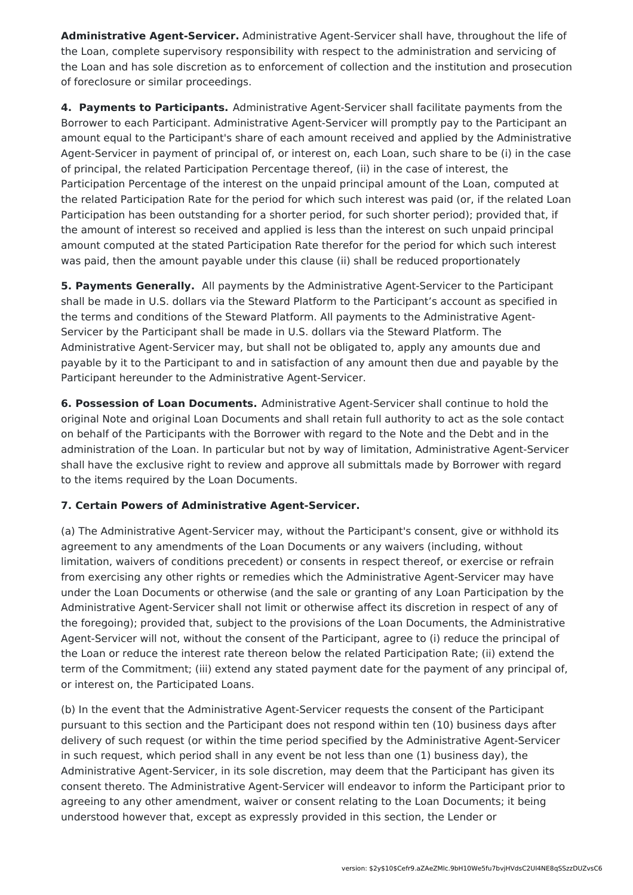**Administrative Agent-Servicer.** Administrative Agent-Servicer shall have, throughout the life of the Loan, complete supervisory responsibility with respect to the administration and servicing of the Loan and has sole discretion as to enforcement of collection and the institution and prosecution of foreclosure or similar proceedings.

**4. Payments to Participants.** Administrative Agent-Servicer shall facilitate payments from the Borrower to each Participant. Administrative Agent-Servicer will promptly pay to the Participant an amount equal to the Participant's share of each amount received and applied by the Administrative Agent-Servicer in payment of principal of, or interest on, each Loan, such share to be (i) in the case of principal, the related Participation Percentage thereof, (ii) in the case of interest, the Participation Percentage of the interest on the unpaid principal amount of the Loan, computed at the related Participation Rate for the period for which such interest was paid (or, if the related Loan Participation has been outstanding for a shorter period, for such shorter period); provided that, if the amount of interest so received and applied is less than the interest on such unpaid principal amount computed at the stated Participation Rate therefor for the period for which such interest was paid, then the amount payable under this clause (ii) shall be reduced proportionately

**5. Payments Generally.** All payments by the Administrative Agent-Servicer to the Participant shall be made in U.S. dollars via the Steward Platform to the Participant's account as specified in the terms and conditions of the Steward Platform. All payments to the Administrative Agent-Servicer by the Participant shall be made in U.S. dollars via the Steward Platform. The Administrative Agent-Servicer may, but shall not be obligated to, apply any amounts due and payable by it to the Participant to and in satisfaction of any amount then due and payable by the Participant hereunder to the Administrative Agent-Servicer.

**6. Possession of Loan Documents.** Administrative Agent-Servicer shall continue to hold the original Note and original Loan Documents and shall retain full authority to act as the sole contact on behalf of the Participants with the Borrower with regard to the Note and the Debt and in the administration of the Loan. In particular but not by way of limitation, Administrative Agent-Servicer shall have the exclusive right to review and approve all submittals made by Borrower with regard to the items required by the Loan Documents.

### **7. Certain Powers of Administrative Agent-Servicer.**

(a) The Administrative Agent-Servicer may, without the Participant's consent, give or withhold its agreement to any amendments of the Loan Documents or any waivers (including, without limitation, waivers of conditions precedent) or consents in respect thereof, or exercise or refrain from exercising any other rights or remedies which the Administrative Agent-Servicer may have under the Loan Documents or otherwise (and the sale or granting of any Loan Participation by the Administrative Agent-Servicer shall not limit or otherwise affect its discretion in respect of any of the foregoing); provided that, subject to the provisions of the Loan Documents, the Administrative Agent-Servicer will not, without the consent of the Participant, agree to (i) reduce the principal of the Loan or reduce the interest rate thereon below the related Participation Rate; (ii) extend the term of the Commitment; (iii) extend any stated payment date for the payment of any principal of, or interest on, the Participated Loans.

(b) In the event that the Administrative Agent-Servicer requests the consent of the Participant pursuant to this section and the Participant does not respond within ten (10) business days after delivery of such request (or within the time period specified by the Administrative Agent-Servicer in such request, which period shall in any event be not less than one (1) business day), the Administrative Agent-Servicer, in its sole discretion, may deem that the Participant has given its consent thereto. The Administrative Agent-Servicer will endeavor to inform the Participant prior to agreeing to any other amendment, waiver or consent relating to the Loan Documents; it being understood however that, except as expressly provided in this section, the Lender or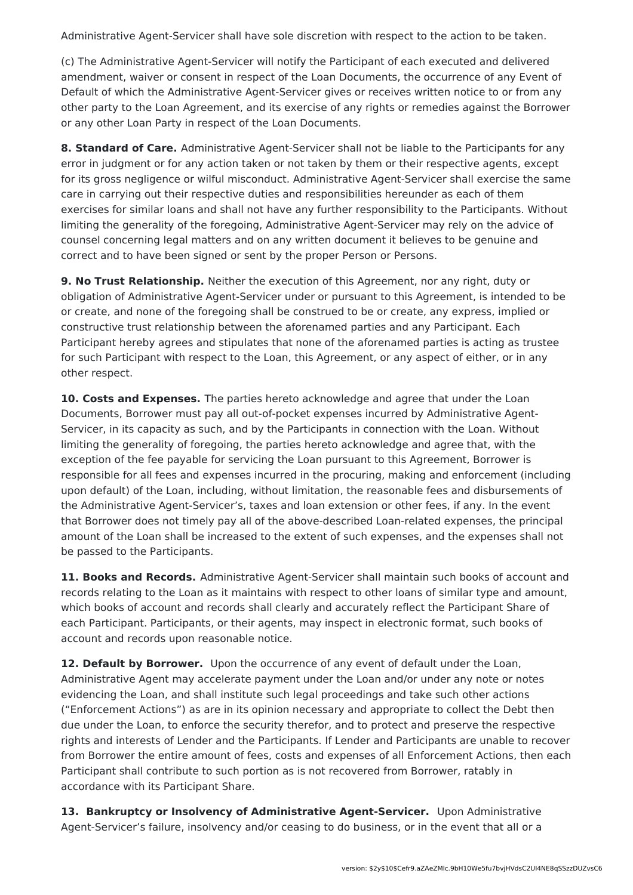Administrative Agent-Servicer shall have sole discretion with respect to the action to be taken.

(c) The Administrative Agent-Servicer will notify the Participant of each executed and delivered amendment, waiver or consent in respect of the Loan Documents, the occurrence of any Event of Default of which the Administrative Agent-Servicer gives or receives written notice to or from any other party to the Loan Agreement, and its exercise of any rights or remedies against the Borrower or any other Loan Party in respect of the Loan Documents.

**8. Standard of Care.** Administrative Agent-Servicer shall not be liable to the Participants for any error in judgment or for any action taken or not taken by them or their respective agents, except for its gross negligence or wilful misconduct. Administrative Agent-Servicer shall exercise the same care in carrying out their respective duties and responsibilities hereunder as each of them exercises for similar loans and shall not have any further responsibility to the Participants. Without limiting the generality of the foregoing, Administrative Agent-Servicer may rely on the advice of counsel concerning legal matters and on any written document it believes to be genuine and correct and to have been signed or sent by the proper Person or Persons.

**9. No Trust Relationship.** Neither the execution of this Agreement, nor any right, duty or obligation of Administrative Agent-Servicer under or pursuant to this Agreement, is intended to be or create, and none of the foregoing shall be construed to be or create, any express, implied or constructive trust relationship between the aforenamed parties and any Participant. Each Participant hereby agrees and stipulates that none of the aforenamed parties is acting as trustee for such Participant with respect to the Loan, this Agreement, or any aspect of either, or in any other respect.

**10. Costs and Expenses.** The parties hereto acknowledge and agree that under the Loan Documents, Borrower must pay all out-of-pocket expenses incurred by Administrative Agent-Servicer, in its capacity as such, and by the Participants in connection with the Loan. Without limiting the generality of foregoing, the parties hereto acknowledge and agree that, with the exception of the fee payable for servicing the Loan pursuant to this Agreement, Borrower is responsible for all fees and expenses incurred in the procuring, making and enforcement (including upon default) of the Loan, including, without limitation, the reasonable fees and disbursements of the Administrative Agent-Servicer's, taxes and loan extension or other fees, if any. In the event that Borrower does not timely pay all of the above-described Loan-related expenses, the principal amount of the Loan shall be increased to the extent of such expenses, and the expenses shall not be passed to the Participants.

**11. Books and Records.** Administrative Agent-Servicer shall maintain such books of account and records relating to the Loan as it maintains with respect to other loans of similar type and amount, which books of account and records shall clearly and accurately reflect the Participant Share of each Participant. Participants, or their agents, may inspect in electronic format, such books of account and records upon reasonable notice.

**12. Default by Borrower.** Upon the occurrence of any event of default under the Loan, Administrative Agent may accelerate payment under the Loan and/or under any note or notes evidencing the Loan, and shall institute such legal proceedings and take such other actions ("Enforcement Actions") as are in its opinion necessary and appropriate to collect the Debt then due under the Loan, to enforce the security therefor, and to protect and preserve the respective rights and interests of Lender and the Participants. If Lender and Participants are unable to recover from Borrower the entire amount of fees, costs and expenses of all Enforcement Actions, then each Participant shall contribute to such portion as is not recovered from Borrower, ratably in accordance with its Participant Share.

**13. Bankruptcy or Insolvency of Administrative Agent-Servicer.** Upon Administrative Agent-Servicer's failure, insolvency and/or ceasing to do business, or in the event that all or a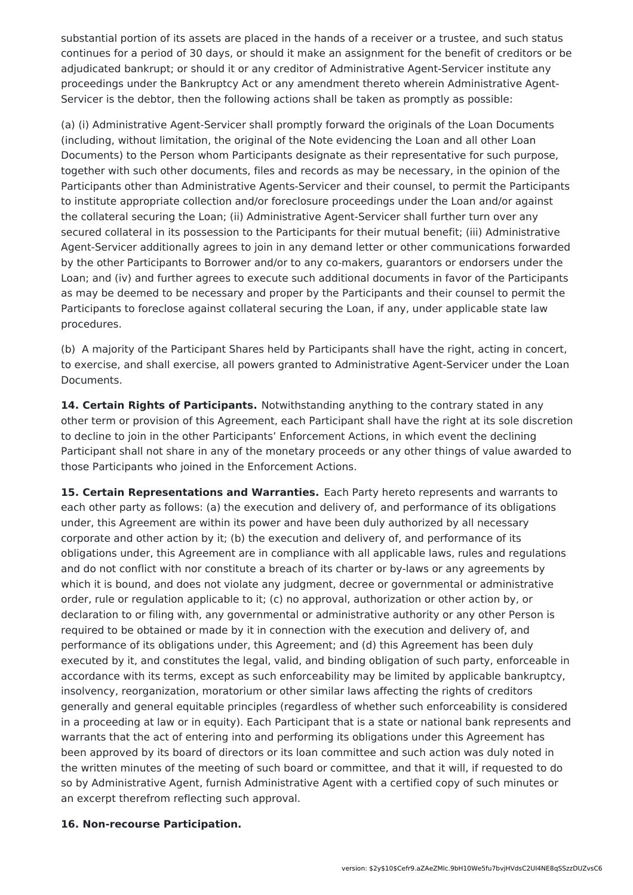substantial portion of its assets are placed in the hands of a receiver or a trustee, and such status continues for a period of 30 days, or should it make an assignment for the benefit of creditors or be adjudicated bankrupt; or should it or any creditor of Administrative Agent-Servicer institute any proceedings under the Bankruptcy Act or any amendment thereto wherein Administrative Agent-Servicer is the debtor, then the following actions shall be taken as promptly as possible:

(a) (i) Administrative Agent-Servicer shall promptly forward the originals of the Loan Documents (including, without limitation, the original of the Note evidencing the Loan and all other Loan Documents) to the Person whom Participants designate as their representative for such purpose, together with such other documents, files and records as may be necessary, in the opinion of the Participants other than Administrative Agents-Servicer and their counsel, to permit the Participants to institute appropriate collection and/or foreclosure proceedings under the Loan and/or against the collateral securing the Loan; (ii) Administrative Agent-Servicer shall further turn over any secured collateral in its possession to the Participants for their mutual benefit; (iii) Administrative Agent-Servicer additionally agrees to join in any demand letter or other communications forwarded by the other Participants to Borrower and/or to any co-makers, guarantors or endorsers under the Loan; and (iv) and further agrees to execute such additional documents in favor of the Participants as may be deemed to be necessary and proper by the Participants and their counsel to permit the Participants to foreclose against collateral securing the Loan, if any, under applicable state law procedures.

(b) A majority of the Participant Shares held by Participants shall have the right, acting in concert, to exercise, and shall exercise, all powers granted to Administrative Agent-Servicer under the Loan Documents.

**14. Certain Rights of Participants.** Notwithstanding anything to the contrary stated in any other term or provision of this Agreement, each Participant shall have the right at its sole discretion to decline to join in the other Participants' Enforcement Actions, in which event the declining Participant shall not share in any of the monetary proceeds or any other things of value awarded to those Participants who joined in the Enforcement Actions.

**15. Certain Representations and Warranties.** Each Party hereto represents and warrants to each other party as follows: (a) the execution and delivery of, and performance of its obligations under, this Agreement are within its power and have been duly authorized by all necessary corporate and other action by it; (b) the execution and delivery of, and performance of its obligations under, this Agreement are in compliance with all applicable laws, rules and regulations and do not conflict with nor constitute a breach of its charter or by-laws or any agreements by which it is bound, and does not violate any judgment, decree or governmental or administrative order, rule or regulation applicable to it; (c) no approval, authorization or other action by, or declaration to or filing with, any governmental or administrative authority or any other Person is required to be obtained or made by it in connection with the execution and delivery of, and performance of its obligations under, this Agreement; and (d) this Agreement has been duly executed by it, and constitutes the legal, valid, and binding obligation of such party, enforceable in accordance with its terms, except as such enforceability may be limited by applicable bankruptcy, insolvency, reorganization, moratorium or other similar laws affecting the rights of creditors generally and general equitable principles (regardless of whether such enforceability is considered in a proceeding at law or in equity). Each Participant that is a state or national bank represents and warrants that the act of entering into and performing its obligations under this Agreement has been approved by its board of directors or its loan committee and such action was duly noted in the written minutes of the meeting of such board or committee, and that it will, if requested to do so by Administrative Agent, furnish Administrative Agent with a certified copy of such minutes or an excerpt therefrom reflecting such approval.

#### **16. Non-recourse Participation.**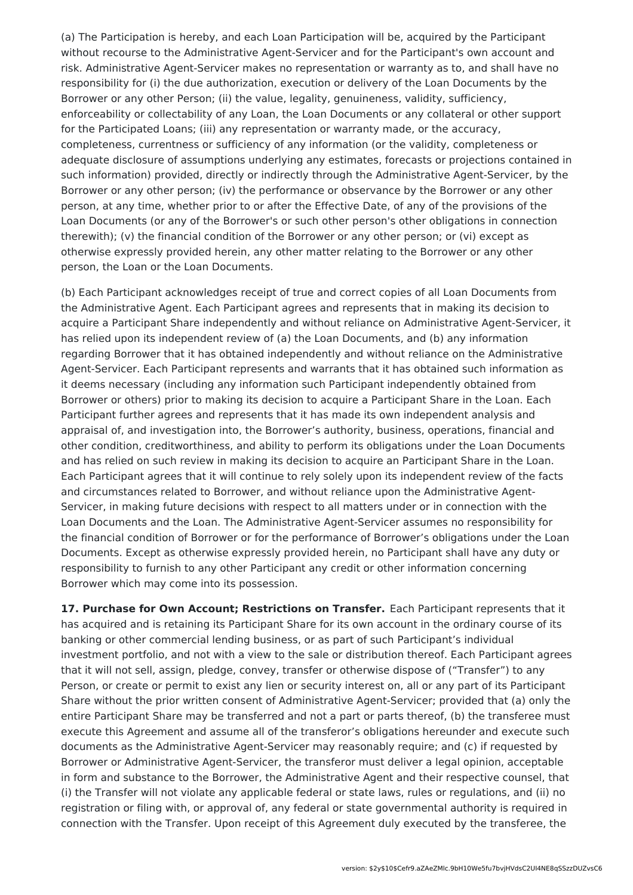(a) The Participation is hereby, and each Loan Participation will be, acquired by the Participant without recourse to the Administrative Agent-Servicer and for the Participant's own account and risk. Administrative Agent-Servicer makes no representation or warranty as to, and shall have no responsibility for (i) the due authorization, execution or delivery of the Loan Documents by the Borrower or any other Person; (ii) the value, legality, genuineness, validity, sufficiency, enforceability or collectability of any Loan, the Loan Documents or any collateral or other support for the Participated Loans; (iii) any representation or warranty made, or the accuracy, completeness, currentness or sufficiency of any information (or the validity, completeness or adequate disclosure of assumptions underlying any estimates, forecasts or projections contained in such information) provided, directly or indirectly through the Administrative Agent-Servicer, by the Borrower or any other person; (iv) the performance or observance by the Borrower or any other person, at any time, whether prior to or after the Effective Date, of any of the provisions of the Loan Documents (or any of the Borrower's or such other person's other obligations in connection therewith); (v) the financial condition of the Borrower or any other person; or (vi) except as otherwise expressly provided herein, any other matter relating to the Borrower or any other person, the Loan or the Loan Documents.

(b) Each Participant acknowledges receipt of true and correct copies of all Loan Documents from the Administrative Agent. Each Participant agrees and represents that in making its decision to acquire a Participant Share independently and without reliance on Administrative Agent-Servicer, it has relied upon its independent review of (a) the Loan Documents, and (b) any information regarding Borrower that it has obtained independently and without reliance on the Administrative Agent-Servicer. Each Participant represents and warrants that it has obtained such information as it deems necessary (including any information such Participant independently obtained from Borrower or others) prior to making its decision to acquire a Participant Share in the Loan. Each Participant further agrees and represents that it has made its own independent analysis and appraisal of, and investigation into, the Borrower's authority, business, operations, financial and other condition, creditworthiness, and ability to perform its obligations under the Loan Documents and has relied on such review in making its decision to acquire an Participant Share in the Loan. Each Participant agrees that it will continue to rely solely upon its independent review of the facts and circumstances related to Borrower, and without reliance upon the Administrative Agent-Servicer, in making future decisions with respect to all matters under or in connection with the Loan Documents and the Loan. The Administrative Agent-Servicer assumes no responsibility for the financial condition of Borrower or for the performance of Borrower's obligations under the Loan Documents. Except as otherwise expressly provided herein, no Participant shall have any duty or responsibility to furnish to any other Participant any credit or other information concerning Borrower which may come into its possession.

**17. Purchase for Own Account; Restrictions on Transfer.** Each Participant represents that it has acquired and is retaining its Participant Share for its own account in the ordinary course of its banking or other commercial lending business, or as part of such Participant's individual investment portfolio, and not with a view to the sale or distribution thereof. Each Participant agrees that it will not sell, assign, pledge, convey, transfer or otherwise dispose of ("Transfer") to any Person, or create or permit to exist any lien or security interest on, all or any part of its Participant Share without the prior written consent of Administrative Agent-Servicer; provided that (a) only the entire Participant Share may be transferred and not a part or parts thereof, (b) the transferee must execute this Agreement and assume all of the transferor's obligations hereunder and execute such documents as the Administrative Agent-Servicer may reasonably require; and (c) if requested by Borrower or Administrative Agent-Servicer, the transferor must deliver a legal opinion, acceptable in form and substance to the Borrower, the Administrative Agent and their respective counsel, that (i) the Transfer will not violate any applicable federal or state laws, rules or regulations, and (ii) no registration or filing with, or approval of, any federal or state governmental authority is required in connection with the Transfer. Upon receipt of this Agreement duly executed by the transferee, the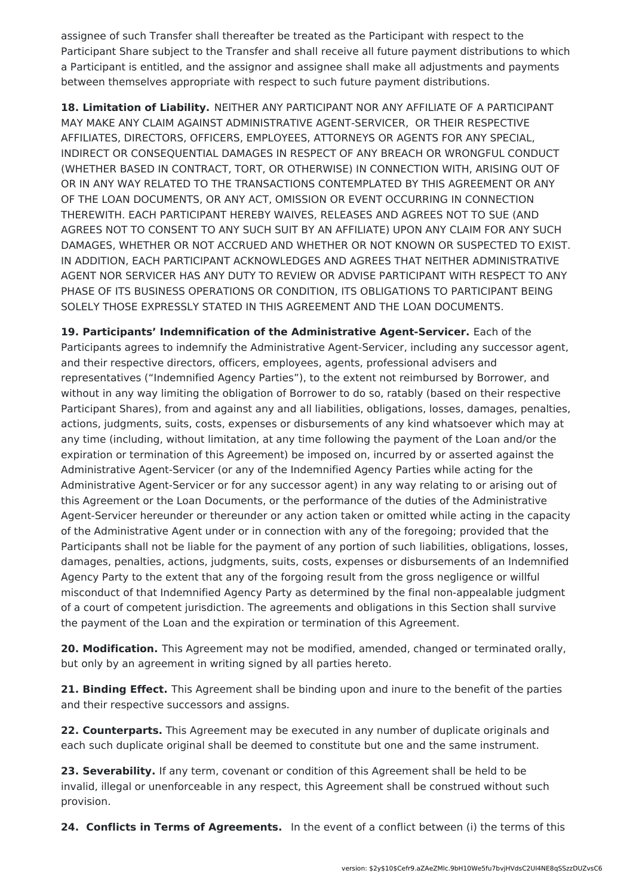assignee of such Transfer shall thereafter be treated as the Participant with respect to the Participant Share subject to the Transfer and shall receive all future payment distributions to which a Participant is entitled, and the assignor and assignee shall make all adjustments and payments between themselves appropriate with respect to such future payment distributions.

**18. Limitation of Liability.** NEITHER ANY PARTICIPANT NOR ANY AFFILIATE OF A PARTICIPANT MAY MAKE ANY CLAIM AGAINST ADMINISTRATIVE AGENT-SERVICER, OR THEIR RESPECTIVE AFFILIATES, DIRECTORS, OFFICERS, EMPLOYEES, ATTORNEYS OR AGENTS FOR ANY SPECIAL, INDIRECT OR CONSEQUENTIAL DAMAGES IN RESPECT OF ANY BREACH OR WRONGFUL CONDUCT (WHETHER BASED IN CONTRACT, TORT, OR OTHERWISE) IN CONNECTION WITH, ARISING OUT OF OR IN ANY WAY RELATED TO THE TRANSACTIONS CONTEMPLATED BY THIS AGREEMENT OR ANY OF THE LOAN DOCUMENTS, OR ANY ACT, OMISSION OR EVENT OCCURRING IN CONNECTION THEREWITH. EACH PARTICIPANT HEREBY WAIVES, RELEASES AND AGREES NOT TO SUE (AND AGREES NOT TO CONSENT TO ANY SUCH SUIT BY AN AFFILIATE) UPON ANY CLAIM FOR ANY SUCH DAMAGES, WHETHER OR NOT ACCRUED AND WHETHER OR NOT KNOWN OR SUSPECTED TO EXIST. IN ADDITION, EACH PARTICIPANT ACKNOWLEDGES AND AGREES THAT NEITHER ADMINISTRATIVE AGENT NOR SERVICER HAS ANY DUTY TO REVIEW OR ADVISE PARTICIPANT WITH RESPECT TO ANY PHASE OF ITS BUSINESS OPERATIONS OR CONDITION, ITS OBLIGATIONS TO PARTICIPANT BEING SOLELY THOSE EXPRESSLY STATED IN THIS AGREEMENT AND THE LOAN DOCUMENTS.

**19. Participants' Indemnification of the Administrative Agent-Servicer.** Each of the Participants agrees to indemnify the Administrative Agent-Servicer, including any successor agent, and their respective directors, officers, employees, agents, professional advisers and representatives ("Indemnified Agency Parties"), to the extent not reimbursed by Borrower, and without in any way limiting the obligation of Borrower to do so, ratably (based on their respective Participant Shares), from and against any and all liabilities, obligations, losses, damages, penalties, actions, judgments, suits, costs, expenses or disbursements of any kind whatsoever which may at any time (including, without limitation, at any time following the payment of the Loan and/or the expiration or termination of this Agreement) be imposed on, incurred by or asserted against the Administrative Agent-Servicer (or any of the Indemnified Agency Parties while acting for the Administrative Agent-Servicer or for any successor agent) in any way relating to or arising out of this Agreement or the Loan Documents, or the performance of the duties of the Administrative Agent-Servicer hereunder or thereunder or any action taken or omitted while acting in the capacity of the Administrative Agent under or in connection with any of the foregoing; provided that the Participants shall not be liable for the payment of any portion of such liabilities, obligations, losses, damages, penalties, actions, judgments, suits, costs, expenses or disbursements of an Indemnified Agency Party to the extent that any of the forgoing result from the gross negligence or willful misconduct of that Indemnified Agency Party as determined by the final non-appealable judgment of a court of competent jurisdiction. The agreements and obligations in this Section shall survive the payment of the Loan and the expiration or termination of this Agreement.

**20. Modification.** This Agreement may not be modified, amended, changed or terminated orally, but only by an agreement in writing signed by all parties hereto.

**21. Binding Effect.** This Agreement shall be binding upon and inure to the benefit of the parties and their respective successors and assigns.

**22. Counterparts.** This Agreement may be executed in any number of duplicate originals and each such duplicate original shall be deemed to constitute but one and the same instrument.

**23. Severability.** If any term, covenant or condition of this Agreement shall be held to be invalid, illegal or unenforceable in any respect, this Agreement shall be construed without such provision.

**24. Conflicts in Terms of Agreements.** In the event of a conflict between (i) the terms of this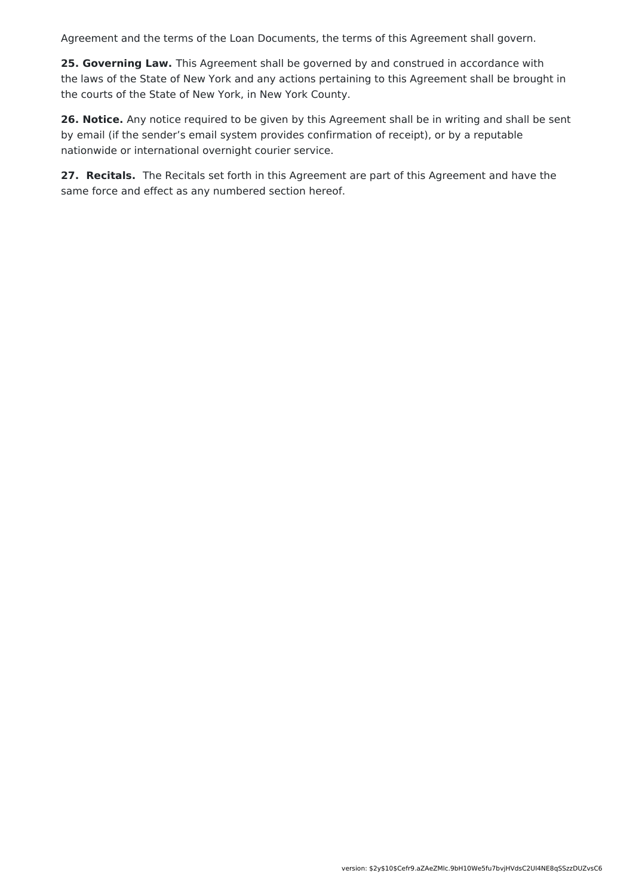Agreement and the terms of the Loan Documents, the terms of this Agreement shall govern.

**25. Governing Law.** This Agreement shall be governed by and construed in accordance with the laws of the State of New York and any actions pertaining to this Agreement shall be brought in the courts of the State of New York, in New York County.

**26. Notice.** Any notice required to be given by this Agreement shall be in writing and shall be sent by email (if the sender's email system provides confirmation of receipt), or by a reputable nationwide or international overnight courier service.

**27. Recitals.** The Recitals set forth in this Agreement are part of this Agreement and have the same force and effect as any numbered section hereof.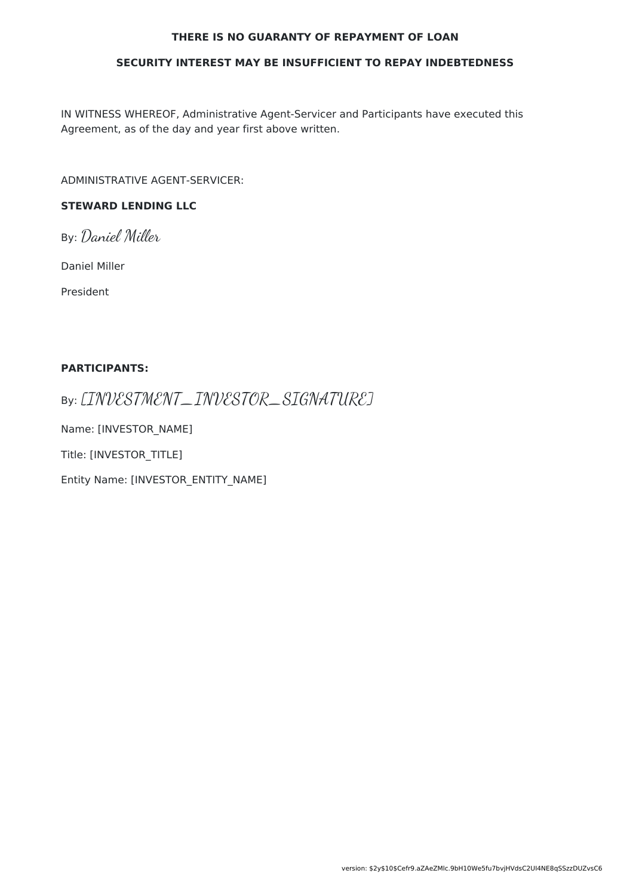#### **THERE IS NO GUARANTY OF REPAYMENT OF LOAN**

#### **SECURITY INTEREST MAY BE INSUFFICIENT TO REPAY INDEBTEDNESS**

IN WITNESS WHEREOF, Administrative Agent-Servicer and Participants have executed this Agreement, as of the day and year first above written.

ADMINISTRATIVE AGENT-SERVICER:

### **STEWARD LENDING LLC**

By: Daniel Miller

Daniel Miller

President

#### **PARTICIPANTS:**

By: [INVESTMENT\_INVESTOR\_SIGNATURE]

Name: [INVESTOR\_NAME]

Title: [INVESTOR\_TITLE]

Entity Name: [INVESTOR\_ENTITY\_NAME]